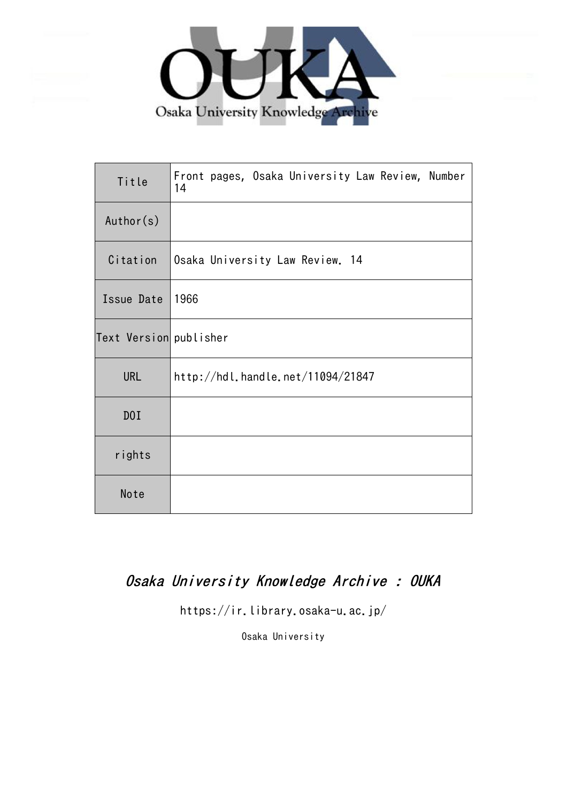

| Title                  | Front pages, Osaka University Law Review, Number<br>14 |
|------------------------|--------------------------------------------------------|
| Author(s)              |                                                        |
| Citation               | Osaka University Law Review. 14                        |
| Issue Date             | 1966                                                   |
| Text Version publisher |                                                        |
| <b>URL</b>             | http://hdl.handle.net/11094/21847                      |
| D0I                    |                                                        |
| rights                 |                                                        |
| Note                   |                                                        |

## Osaka University Knowledge Archive : OUKA

https://ir.library.osaka-u.ac.jp/

Osaka University